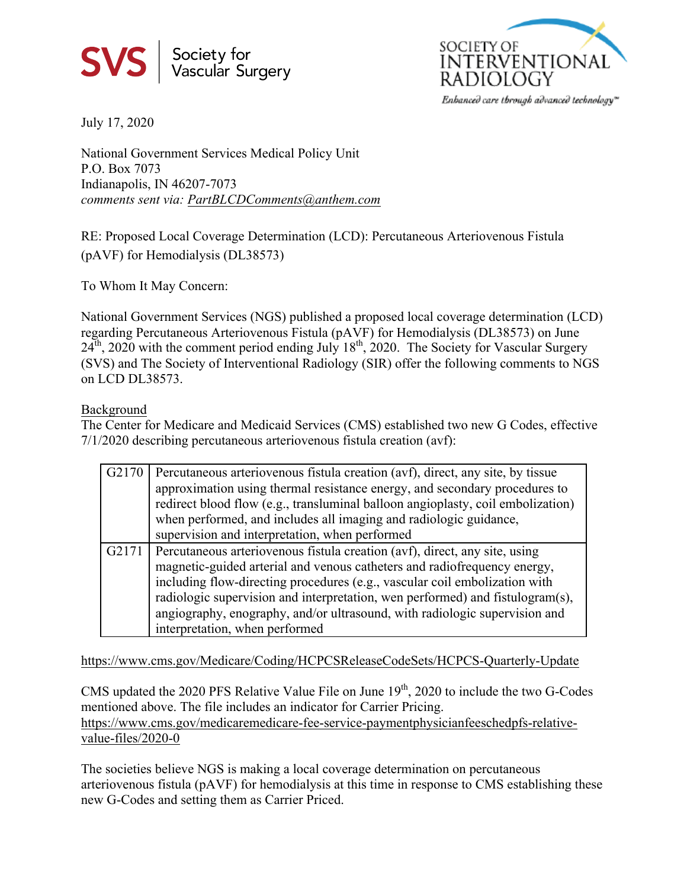



July 17, 2020

National Government Services Medical Policy Unit P.O. Box 7073 Indianapolis, IN 46207-7073 *comments sent via: PartBLCDComments@anthem.com*

RE: Proposed Local Coverage Determination (LCD): Percutaneous Arteriovenous Fistula (pAVF) for Hemodialysis (DL38573)

To Whom It May Concern:

National Government Services (NGS) published a proposed local coverage determination (LCD) regarding Percutaneous Arteriovenous Fistula (pAVF) for Hemodialysis (DL38573) on June  $24<sup>th</sup>$ , 2020 with the comment period ending July  $18<sup>th</sup>$ , 2020. The Society for Vascular Surgery (SVS) and The Society of Interventional Radiology (SIR) offer the following comments to NGS on LCD DL38573.

## Background

The Center for Medicare and Medicaid Services (CMS) established two new G Codes, effective 7/1/2020 describing percutaneous arteriovenous fistula creation (avf):

| G <sub>2</sub> 170 | Percutaneous arteriovenous fistula creation (avf), direct, any site, by tissue<br>approximation using thermal resistance energy, and secondary procedures to<br>redirect blood flow (e.g., transluminal balloon angioplasty, coil embolization)<br>when performed, and includes all imaging and radiologic guidance,<br>supervision and interpretation, when performed                                                                |
|--------------------|---------------------------------------------------------------------------------------------------------------------------------------------------------------------------------------------------------------------------------------------------------------------------------------------------------------------------------------------------------------------------------------------------------------------------------------|
| G2171              | Percutaneous arteriovenous fistula creation (avf), direct, any site, using<br>magnetic-guided arterial and venous catheters and radiofrequency energy,<br>including flow-directing procedures (e.g., vascular coil embolization with<br>radiologic supervision and interpretation, wen performed) and fistulogram(s),<br>angiography, enography, and/or ultrasound, with radiologic supervision and<br>interpretation, when performed |

https://www.cms.gov/Medicare/Coding/HCPCSReleaseCodeSets/HCPCS-Quarterly-Update

CMS updated the 2020 PFS Relative Value File on June  $19<sup>th</sup>$ , 2020 to include the two G-Codes mentioned above. The file includes an indicator for Carrier Pricing. https://www.cms.gov/medicaremedicare-fee-service-paymentphysicianfeeschedpfs-relative-

value-files/2020-0

The societies believe NGS is making a local coverage determination on percutaneous arteriovenous fistula (pAVF) for hemodialysis at this time in response to CMS establishing these new G-Codes and setting them as Carrier Priced.